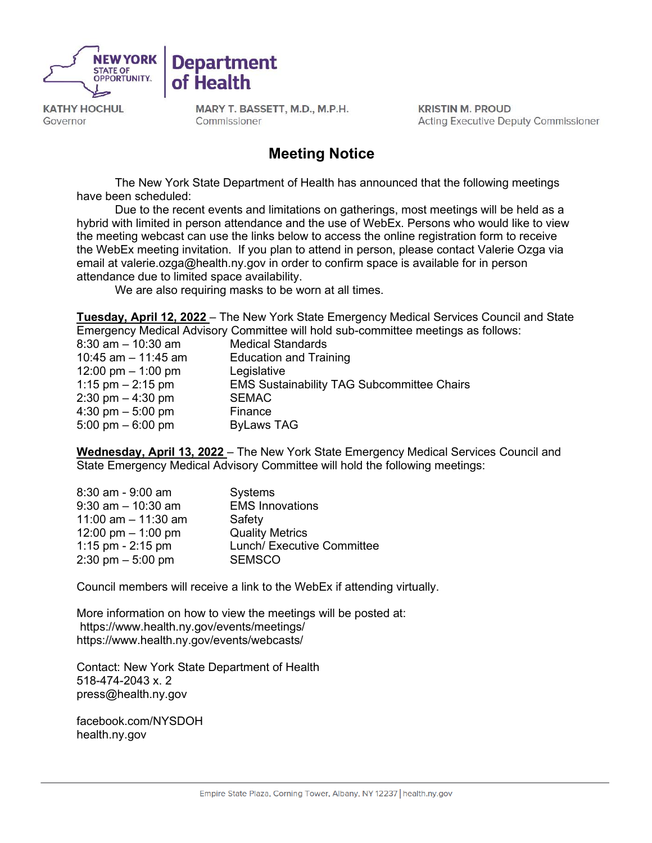



MARY T. BASSETT, M.D., M.P.H. Commissioner

**Department** 

**KRISTIN M. PROUD Acting Executive Deputy Commissioner** 

# **Meeting Notice**

The New York State Department of Health has announced that the following meetings have been scheduled:

Due to the recent events and limitations on gatherings, most meetings will be held as a hybrid with limited in person attendance and the use of WebEx. Persons who would like to view the meeting webcast can use the links below to access the online registration form to receive the WebEx meeting invitation. If you plan to attend in person, please contact Valerie Ozga via email at [valerie.ozga@health.ny.gov](mailto:valarie.ozga@health.ny.gov) in order to confirm space is available for in person attendance due to limited space availability.

We are also requiring masks to be worn at all times.

**Tuesday, April 12, 2022** – The New York State Emergency Medical Services Council and State Emergency Medical Advisory Committee will hold sub-committee meetings as follows:

| $8:30$ am $-10:30$ am               | <b>Medical Standards</b>                          |
|-------------------------------------|---------------------------------------------------|
| 10:45 am $-$ 11:45 am               | <b>Education and Training</b>                     |
| 12:00 pm $-$ 1:00 pm                | Legislative                                       |
| 1:15 pm $- 2:15$ pm                 | <b>EMS Sustainability TAG Subcommittee Chairs</b> |
| $2:30 \text{ pm} - 4:30 \text{ pm}$ | <b>SEMAC</b>                                      |
| 4:30 pm $-5:00$ pm                  | Finance                                           |
| 5:00 pm $-$ 6:00 pm                 | <b>ByLaws TAG</b>                                 |
|                                     |                                                   |

**Wednesday, April 13, 2022** – The New York State Emergency Medical Services Council and State Emergency Medical Advisory Committee will hold the following meetings:

| $8:30$ am - $9:00$ am | <b>Systems</b>             |
|-----------------------|----------------------------|
| $9:30$ am $-10:30$ am | <b>EMS Innovations</b>     |
| 11:00 am $-$ 11:30 am | Safety                     |
| 12:00 pm $-$ 1:00 pm  | <b>Quality Metrics</b>     |
| 1:15 pm - $2:15$ pm   | Lunch/ Executive Committee |
| 2:30 pm $-5:00$ pm    | <b>SEMSCO</b>              |

Council members will receive a link to the WebEx if attending virtually.   

More information on how to view the meetings will be posted at: <https://www.health.ny.gov/events/meetings/> <https://www.health.ny.gov/events/webcasts/>

Contact: New York State Department of Health  518-474-2043 x. 2  [press@health.ny.gov](mailto:press@health.ny.gov)

facebook.com/NYSDOH health.ny.gov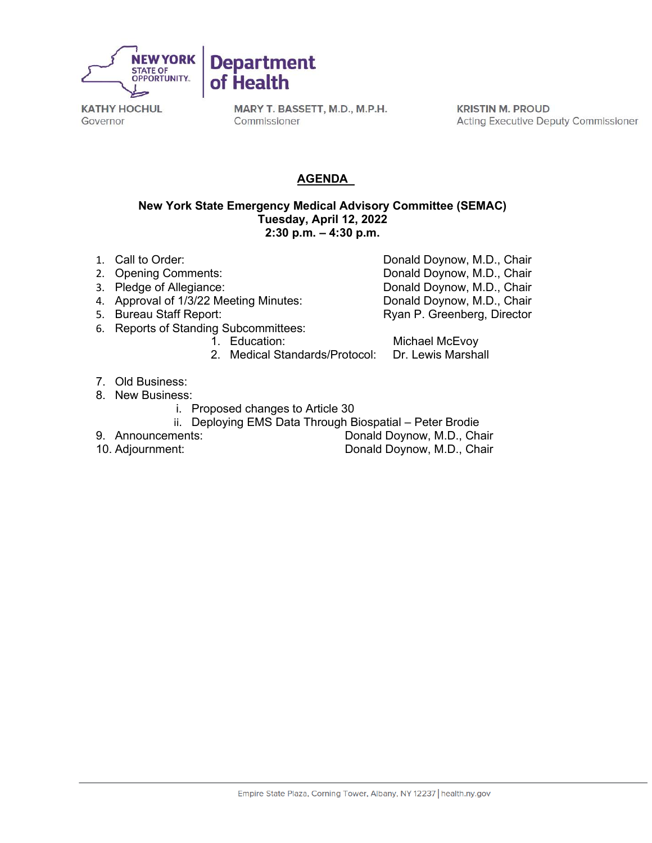

MARY T. BASSETT, M.D., M.P.H. Commissioner

**KRISTIN M. PROUD Acting Executive Deputy Commissioner** 

## **AGENDA**

#### **New York State Emergency Medical Advisory Committee (SEMAC) Tuesday, April 12, 2022 2:30 p.m. – 4:30 p.m.**

- 1. Call to Order: Donald Doynow, M.D., Chair
- 2. Opening Comments: Comments: Donald Doynow, M.D., Chair<br>2. Pledge of Allegiance: Comments: Donald Doynow, M.D., Chair
- 
- 4. Approval of 1/3/22 Meeting Minutes:<br>5. Bureau Staff Report:
- 
- 6. Reports of Standing Subcommittees:
	-
	- Michael McEvoy<br>Dr. Lewis Marshall 2. Medical Standards/Protocol:
- 7. Old Business:
- 8. New Business:
	- i. Proposed changes to Article 30
	- ii. Deploying EMS Data Through Biospatial Peter Brodie
- 
- 

9. Announcements: Donald Doynow, M.D., Chair<br>10. Adjournment: Donald Doynow, M.D., Chair Donald Doynow, M.D., Chair

Donald Doynow, M.D., Chair<br>Donald Doynow, M.D., Chair

Ryan P. Greenberg, Director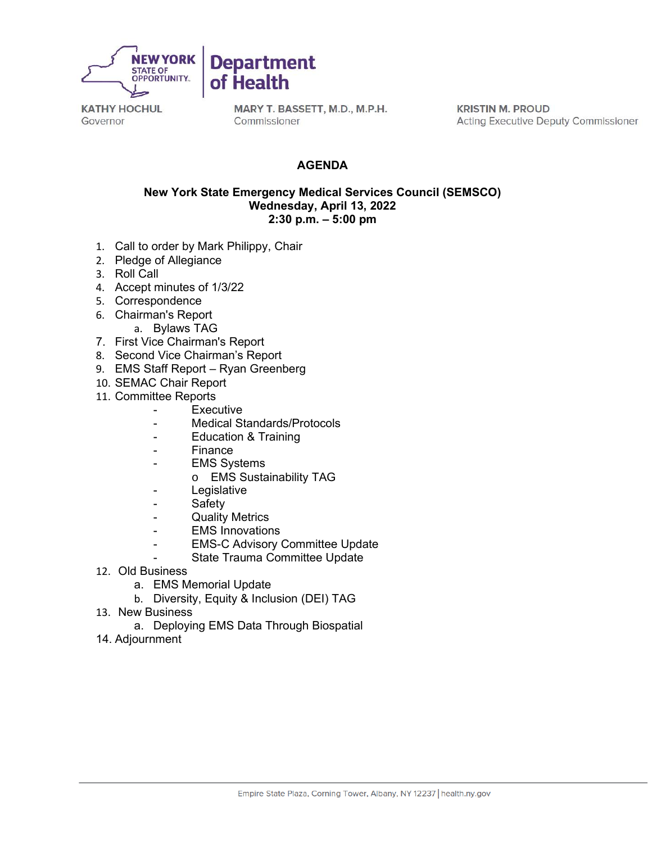

MARY T. BASSETT, M.D., M.P.H. Commissioner

**KRISTIN M. PROUD Acting Executive Deputy Commissioner** 

### **AGENDA**

#### **New York State Emergency Medical Services Council (SEMSCO) Wednesday, April 13, 2022 2:30 p.m. – 5:00 pm**

- 1. Call to order by Mark Philippy, Chair
- 2. Pledge of Allegiance
- 3. Roll Call
- 4. Accept minutes of 1/3/22
- 5. Correspondence
- 6. Chairman's Report
	- a. Bylaws TAG
- 7. First Vice Chairman's Report
- 8. Second Vice Chairman's Report
- 9. EMS Staff Report Ryan Greenberg
- 10. SEMAC Chair Report
- 11. Committee Reports
	- **Executive**
	- Medical Standards/Protocols
	- Education & Training
	- Finance
	- EMS Systems
		- o EMS Sustainability TAG
	- Legislative
	- Safety
	- **Quality Metrics**
	- EMS Innovations
		- EMS-C Advisory Committee Update
	- State Trauma Committee Update
- 12. Old Business
	- a. EMS Memorial Update
	- b. Diversity, Equity & Inclusion (DEI) TAG
- 13. New Business
	- a. Deploying EMS Data Through Biospatial
- 14. Adjournment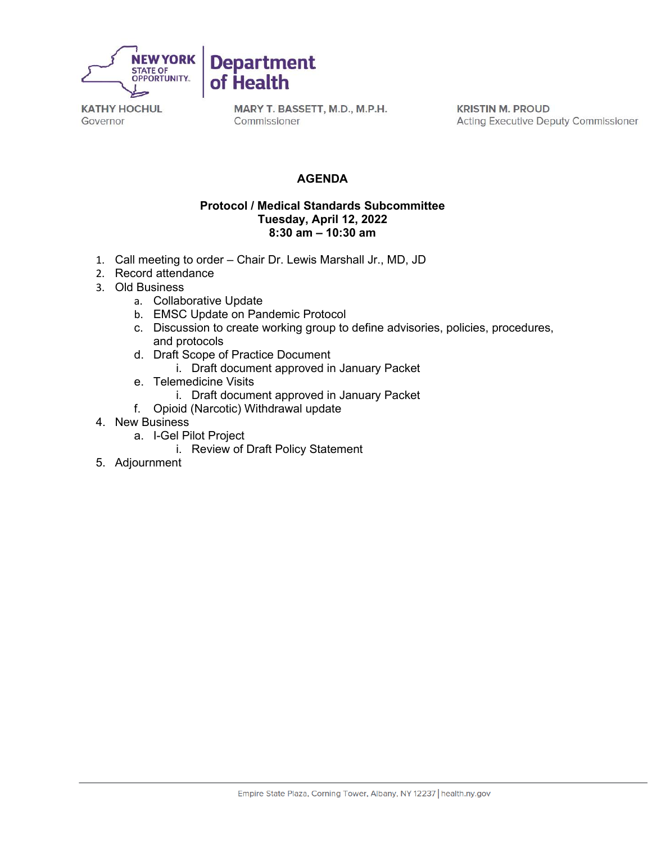

MARY T. BASSETT, M.D., M.P.H. Commissioner

**KRISTIN M. PROUD** Acting Executive Deputy Commissioner

## **AGENDA**

#### **Protocol / Medical Standards Subcommittee Tuesday, April 12, 2022 8:30 am – 10:30 am**

- 1. Call meeting to order Chair Dr. Lewis Marshall Jr., MD, JD
- 2. Record attendance
- 3. Old Business
	- a. Collaborative Update
	- b. EMSC Update on Pandemic Protocol
	- c. Discussion to create working group to define advisories, policies, procedures, and protocols
	- d. Draft Scope of Practice Document
		- i. Draft document approved in January Packet
	- e. Telemedicine Visits
		- i. Draft document approved in January Packet
	- f. Opioid (Narcotic) Withdrawal update
- 4. New Business
	- a. I-Gel Pilot Project
		- i. Review of Draft Policy Statement
- 5. Adjournment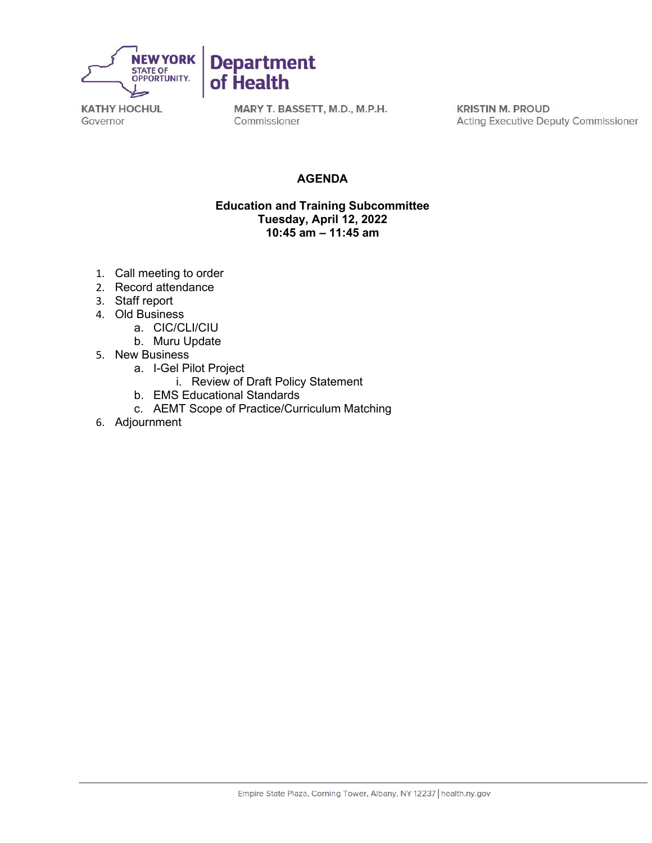

MARY T. BASSETT, M.D., M.P.H. Commissioner

**KRISTIN M. PROUD Acting Executive Deputy Commissioner** 

## **AGENDA**

#### **Education and Training Subcommittee Tuesday, April 12, 2022 10:45 am – 11:45 am**

- 1. Call meeting to order
- 2. Record attendance
- 3. Staff report
- 4. Old Business
	- a. CIC/CLI/CIU
	- b. Muru Update
- 5. New Business
	- a. I-Gel Pilot Project
		- i. Review of Draft Policy Statement
	- b. EMS Educational Standards
	- c. AEMT Scope of Practice/Curriculum Matching
- 6. Adjournment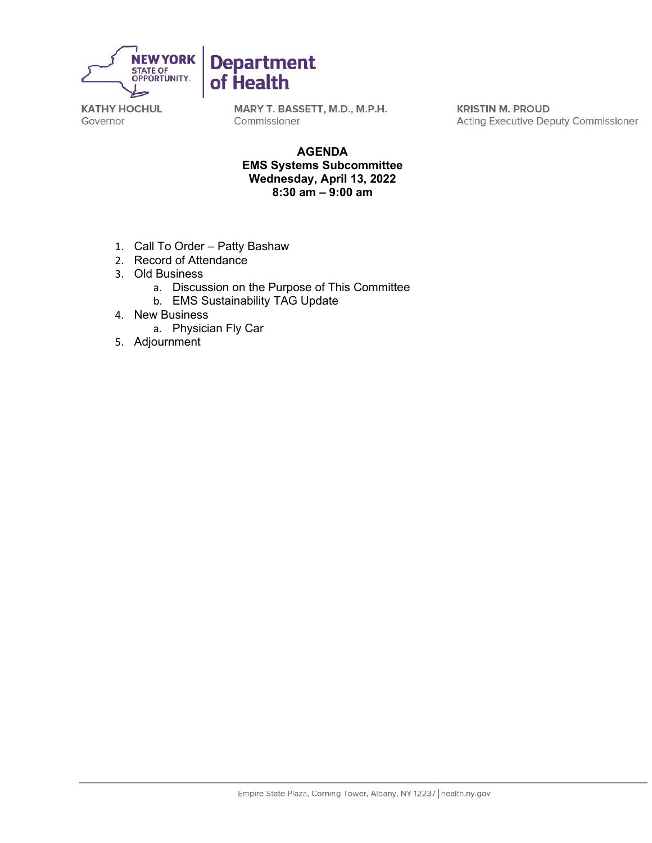

MARY T. BASSETT, M.D., M.P.H. Commissioner

**KRISTIN M. PROUD Acting Executive Deputy Commissioner** 

#### **AGENDA EMS Systems Subcommittee Wednesday, April 13, 2022 8:30 am – 9:00 am**

- 1. Call To Order Patty Bashaw
- 2. Record of Attendance
- 3. Old Business
	- a. Discussion on the Purpose of This Committee
	- b. EMS Sustainability TAG Update
- 4. New Business
	- a. Physician Fly Car
- 5. Adjournment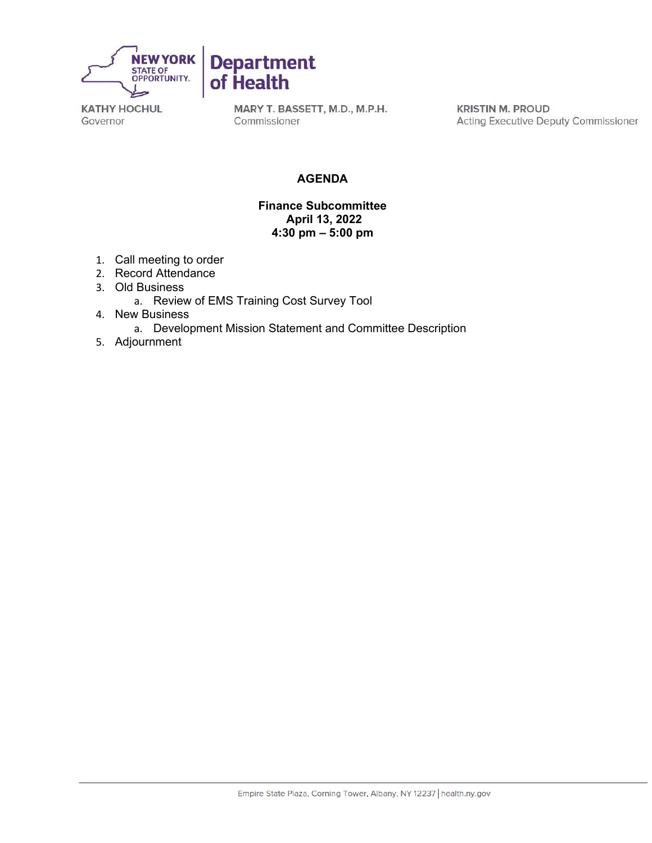

MARY T. BASSETT, M.D., M.P.H. Commissioner

**KRISTIN M. PROUD Acting Executive Deputy Commissioner** 

## **AGENDA**

#### **Finance Subcommittee April 13, 2022 4:30 pm – 5:00 pm**

- 1. Call meeting to order
- 2. Record Attendance
- 3. Old Business
	- a. Review of EMS Training Cost Survey Tool
- 4. New Business
	- a. Development Mission Statement and Committee Description
- 5. Adjournment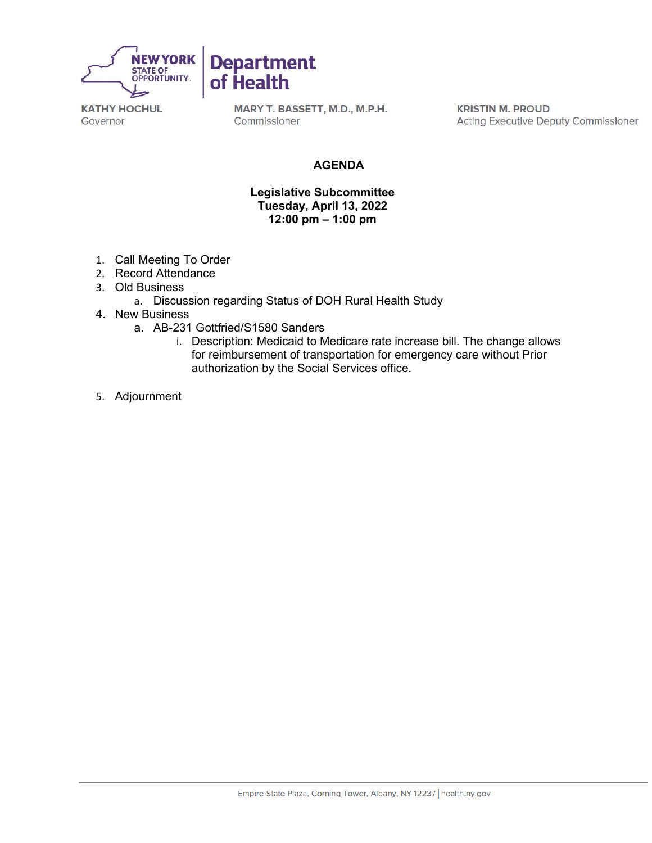

MARY T. BASSETT, M.D., M.P.H. Commissioner

**KRISTIN M. PROUD Acting Executive Deputy Commissioner** 

#### **AGENDA**

#### **Legislative Subcommittee Tuesday, April 13, 2022 12:00 pm – 1:00 pm**

- 1. Call Meeting To Order
- 2. Record Attendance
- 3. Old Business
	- a. Discussion regarding Status of DOH Rural Health Study
- 4. New Business
	- a. AB-231 Gottfried/S1580 Sanders
		- i. Description: Medicaid to Medicare rate increase bill. The change allows for reimbursement of transportation for emergency care without Prior authorization by the Social Services office.
- 5. Adjournment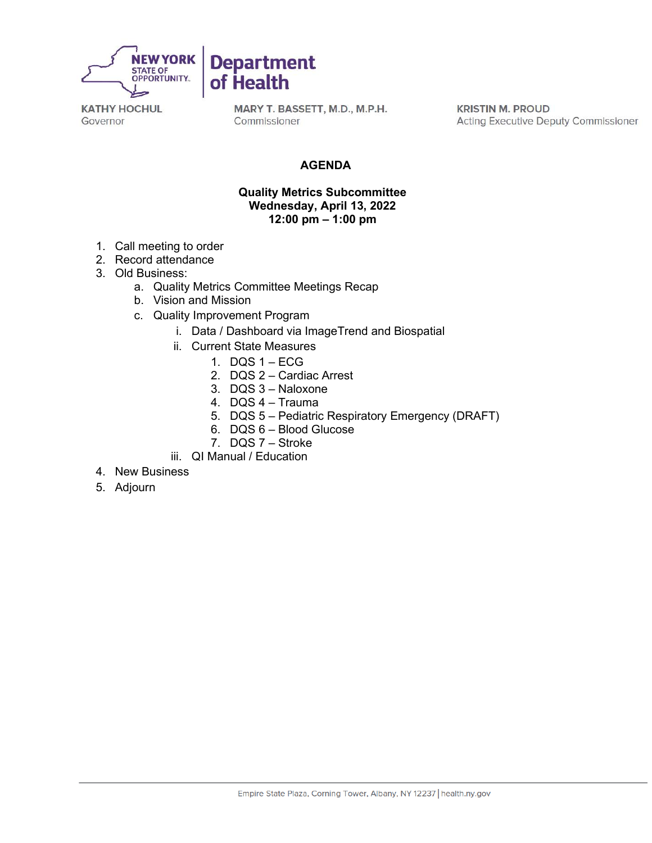

MARY T. BASSETT, M.D., M.P.H. Commissioner

**KRISTIN M. PROUD Acting Executive Deputy Commissioner** 

#### **AGENDA**

#### **Quality Metrics Subcommittee Wednesday, April 13, 2022 12:00 pm – 1:00 pm**

- 1. Call meeting to order
- 2. Record attendance
- 3. Old Business:
	- a. Quality Metrics Committee Meetings Recap

**Department** 

of Health

- b. Vision and Mission
- c. Quality Improvement Program
	- i. Data / Dashboard via ImageTrend and Biospatial
	- ii. Current State Measures
		- 1. DQS 1 ECG
		- 2. DQS 2 Cardiac Arrest
		- 3. DQS 3 Naloxone
		- 4. DQS 4 Trauma
		- 5. DQS 5 Pediatric Respiratory Emergency (DRAFT)
		- 6. DQS 6 Blood Glucose
		- 7. DQS 7 Stroke
	- iii. QI Manual / Education
- 4. New Business
- 5. Adjourn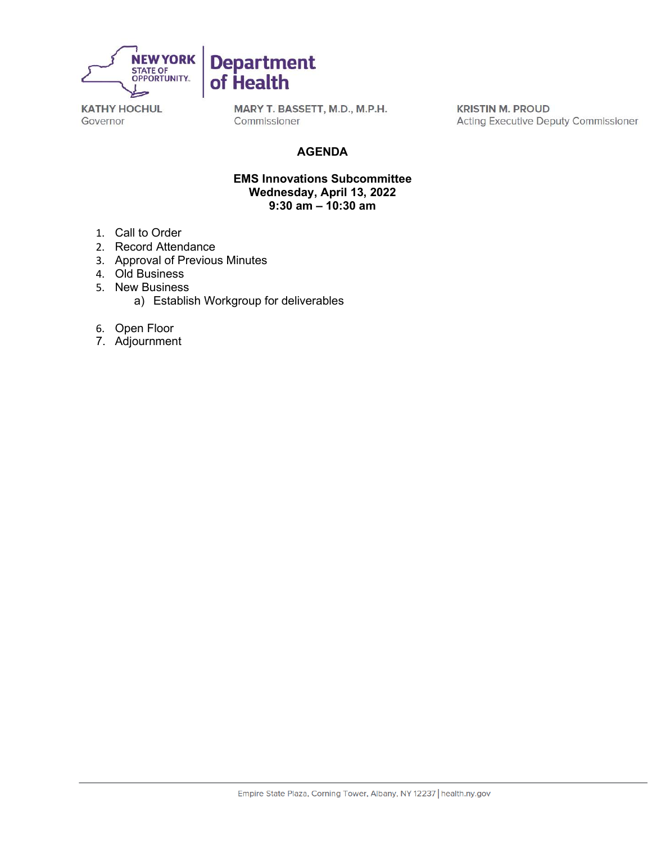

MARY T. BASSETT, M.D., M.P.H. Commissioner

**KRISTIN M. PROUD Acting Executive Deputy Commissioner** 

### **AGENDA**

#### **EMS Innovations Subcommittee Wednesday, April 13, 2022 9:30 am – 10:30 am**

- 1. Call to Order
- 2. Record Attendance
- 3. Approval of Previous Minutes
- 4. Old Business
- 5. New Business
	- a) Establish Workgroup for deliverables
- 6. Open Floor
- 7. Adjournment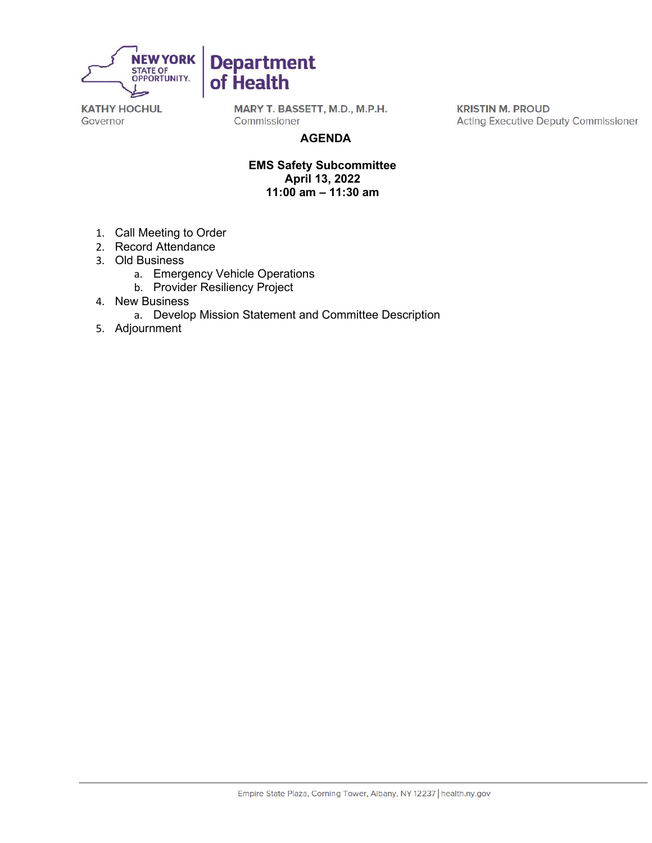

MARY T. BASSETT, M.D., M.P.H. Commissioner

**Department** 

of Health

**KRISTIN M. PROUD Acting Executive Deputy Commissioner** 

#### **AGENDA**

**EMS Safety Subcommittee April 13, 2022 11:00 am – 11:30 am** 

- 1. Call Meeting to Order
- 2. Record Attendance
- 3. Old Business
	- a. Emergency Vehicle Operations
	- b. Provider Resiliency Project
- 4. New Business
	- a. Develop Mission Statement and Committee Description
- 5. Adjournment